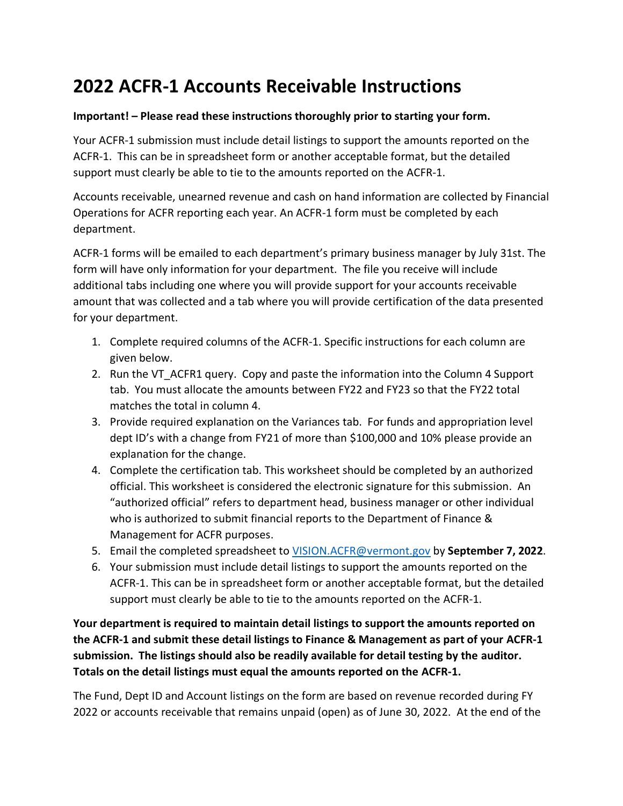## **2022 ACFR-1 Accounts Receivable Instructions**

## **Important! – Please read these instructions thoroughly prior to starting your form.**

Your ACFR-1 submission must include detail listings to support the amounts reported on the ACFR-1. This can be in spreadsheet form or another acceptable format, but the detailed support must clearly be able to tie to the amounts reported on the ACFR-1.

Accounts receivable, unearned revenue and cash on hand information are collected by Financial Operations for ACFR reporting each year. An ACFR-1 form must be completed by each department.

ACFR-1 forms will be emailed to each department's primary business manager by July 31st. The form will have only information for your department. The file you receive will include additional tabs including one where you will provide support for your accounts receivable amount that was collected and a tab where you will provide certification of the data presented for your department.

- 1. Complete required columns of the ACFR-1. Specific instructions for each column are given below.
- 2. Run the VT\_ACFR1 query. Copy and paste the information into the Column 4 Support tab. You must allocate the amounts between FY22 and FY23 so that the FY22 total matches the total in column 4.
- 3. Provide required explanation on the Variances tab. For funds and appropriation level dept ID's with a change from FY21 of more than \$100,000 and 10% please provide an explanation for the change.
- 4. Complete the certification tab. This worksheet should be completed by an authorized official. This worksheet is considered the electronic signature for this submission. An "authorized official" refers to department head, business manager or other individual who is authorized to submit financial reports to the Department of Finance & Management for ACFR purposes.
- 5. Email the completed spreadsheet to [VISION.ACFR@vermont.gov](mailto:VISION.CAFR@vermont.gov) by **September 7, 2022**.
- 6. Your submission must include detail listings to support the amounts reported on the ACFR-1. This can be in spreadsheet form or another acceptable format, but the detailed support must clearly be able to tie to the amounts reported on the ACFR-1.

**Your department is required to maintain detail listings to support the amounts reported on the ACFR-1 and submit these detail listings to Finance & Management as part of your ACFR-1 submission. The listings should also be readily available for detail testing by the auditor. Totals on the detail listings must equal the amounts reported on the ACFR-1.**

The Fund, Dept ID and Account listings on the form are based on revenue recorded during FY 2022 or accounts receivable that remains unpaid (open) as of June 30, 2022. At the end of the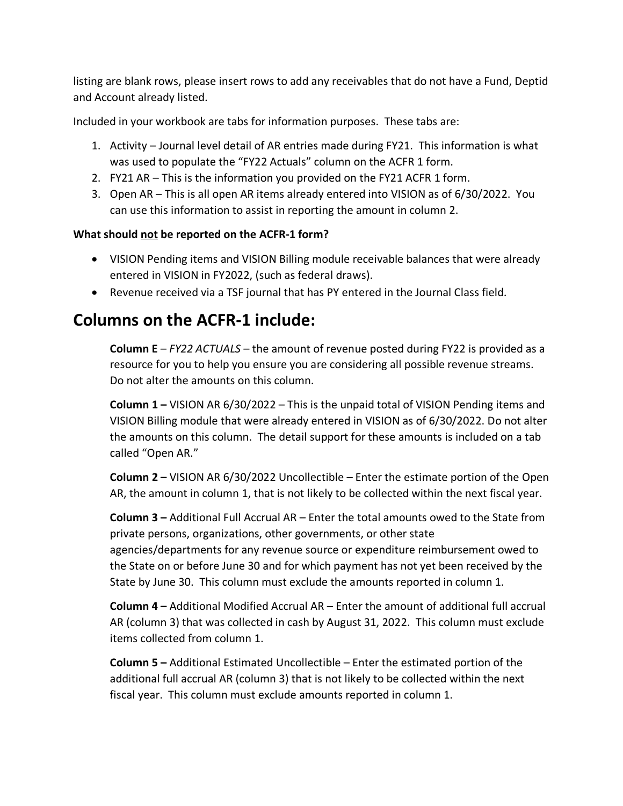listing are blank rows, please insert rows to add any receivables that do not have a Fund, Deptid and Account already listed.

Included in your workbook are tabs for information purposes. These tabs are:

- 1. Activity Journal level detail of AR entries made during FY21. This information is what was used to populate the "FY22 Actuals" column on the ACFR 1 form.
- 2. FY21 AR This is the information you provided on the FY21 ACFR 1 form.
- 3. Open AR This is all open AR items already entered into VISION as of 6/30/2022. You can use this information to assist in reporting the amount in column 2.

## **What should not be reported on the ACFR-1 form?**

- VISION Pending items and VISION Billing module receivable balances that were already entered in VISION in FY2022, (such as federal draws).
- Revenue received via a TSF journal that has PY entered in the Journal Class field.

## **Columns on the ACFR-1 include:**

**Column E** – *FY22 ACTUALS* – the amount of revenue posted during FY22 is provided as a resource for you to help you ensure you are considering all possible revenue streams. Do not alter the amounts on this column.

**Column 1 –** VISION AR 6/30/2022 – This is the unpaid total of VISION Pending items and VISION Billing module that were already entered in VISION as of 6/30/2022. Do not alter the amounts on this column. The detail support for these amounts is included on a tab called "Open AR."

**Column 2 –** VISION AR 6/30/2022 Uncollectible – Enter the estimate portion of the Open AR, the amount in column 1, that is not likely to be collected within the next fiscal year.

**Column 3 –** Additional Full Accrual AR – Enter the total amounts owed to the State from private persons, organizations, other governments, or other state agencies/departments for any revenue source or expenditure reimbursement owed to the State on or before June 30 and for which payment has not yet been received by the State by June 30. This column must exclude the amounts reported in column 1.

**Column 4 –** Additional Modified Accrual AR – Enter the amount of additional full accrual AR (column 3) that was collected in cash by August 31, 2022. This column must exclude items collected from column 1.

**Column 5 –** Additional Estimated Uncollectible – Enter the estimated portion of the additional full accrual AR (column 3) that is not likely to be collected within the next fiscal year. This column must exclude amounts reported in column 1.